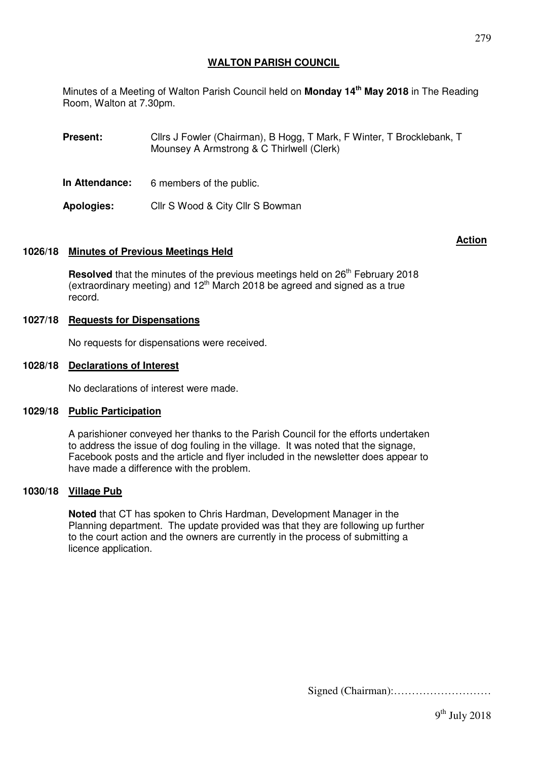## **WALTON PARISH COUNCIL**

Minutes of a Meeting of Walton Parish Council held on **Monday 14th May 2018** in The Reading Room, Walton at 7.30pm.

**Present:** Cllrs J Fowler (Chairman), B Hogg, T Mark, F Winter, T Brocklebank, T Mounsey A Armstrong & C Thirlwell (Clerk)

**In Attendance:** 6 members of the public.

**Apologies:** Cllr S Wood & City Cllr S Bowman

## **1026/18 Minutes of Previous Meetings Held**

Resolved that the minutes of the previous meetings held on 26<sup>th</sup> February 2018 (extraordinary meeting) and  $12<sup>th</sup>$  March 2018 be agreed and signed as a true record.

## **1027/18 Requests for Dispensations**

No requests for dispensations were received.

## **1028/18 Declarations of Interest**

No declarations of interest were made.

#### **1029/18 Public Participation**

A parishioner conveyed her thanks to the Parish Council for the efforts undertaken to address the issue of dog fouling in the village. It was noted that the signage, Facebook posts and the article and flyer included in the newsletter does appear to have made a difference with the problem.

## **1030/18 Village Pub**

**Noted** that CT has spoken to Chris Hardman, Development Manager in the Planning department. The update provided was that they are following up further to the court action and the owners are currently in the process of submitting a licence application.

Signed (Chairman):………………………

# **Action** And the Contract of the Contract of the Contract of the Action Action Action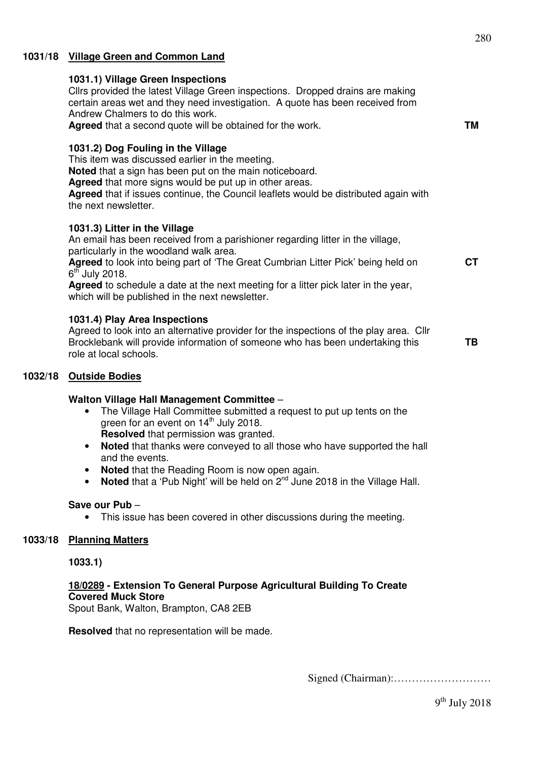## **1031/18 Village Green and Common Land**

#### **1031.1) Village Green Inspections**

Cllrs provided the latest Village Green inspections. Dropped drains are making certain areas wet and they need investigation. A quote has been received from Andrew Chalmers to do this work.

**Agreed** that a second quote will be obtained for the work.

### **1031.2) Dog Fouling in the Village**

This item was discussed earlier in the meeting.

**Noted** that a sign has been put on the main noticeboard.

**Agreed** that more signs would be put up in other areas.

**Agreed** that if issues continue, the Council leaflets would be distributed again with the next newsletter.

#### **1031.3) Litter in the Village**

An email has been received from a parishioner regarding litter in the village, particularly in the woodland walk area.

**Agreed** to look into being part of 'The Great Cumbrian Litter Pick' being held on  $6^{\text{th}}$  July 2018.

**Agreed** to schedule a date at the next meeting for a litter pick later in the year, which will be published in the next newsletter.

## **1031.4) Play Area Inspections**

Agreed to look into an alternative provider for the inspections of the play area. Cllr Brocklebank will provide information of someone who has been undertaking this role at local schools. **TB** 

### **1032/18 Outside Bodies**

#### **Walton Village Hall Management Committee** –

- The Village Hall Committee submitted a request to put up tents on the green for an event on  $14<sup>th</sup>$  July 2018. **Resolved** that permission was granted.
- **Noted** that thanks were conveyed to all those who have supported the hall and the events.
- **Noted** that the Reading Room is now open again.
- **Noted** that a 'Pub Night' will be held on 2<sup>nd</sup> June 2018 in the Village Hall.

#### **Save our Pub** –

This issue has been covered in other discussions during the meeting.

#### **1033/18 Planning Matters**

#### **1033.1)**

## **18/0289 - Extension To General Purpose Agricultural Building To Create Covered Muck Store**

Spout Bank, Walton, Brampton, CA8 2EB

**Resolved** that no representation will be made.

Signed (Chairman):………………………

**TM** 

**CT**